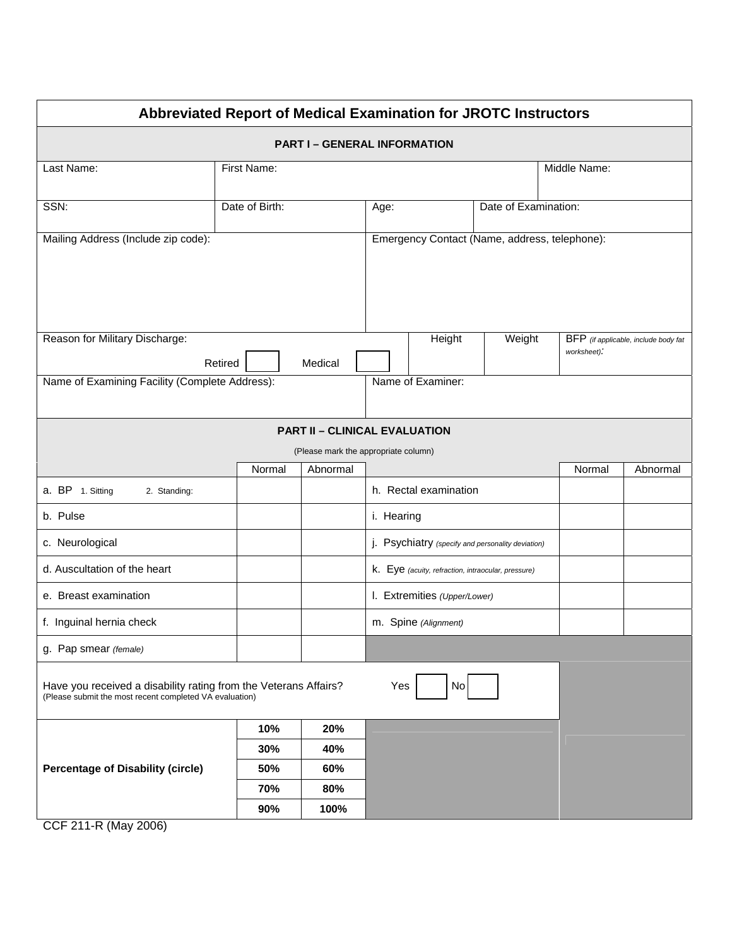| Abbreviated Report of Medical Examination for JROTC Instructors                                                             |                                      |                                      |                                                    |                       |             |                                               |          |  |  |  |
|-----------------------------------------------------------------------------------------------------------------------------|--------------------------------------|--------------------------------------|----------------------------------------------------|-----------------------|-------------|-----------------------------------------------|----------|--|--|--|
|                                                                                                                             |                                      | <b>PART I-GENERAL INFORMATION</b>    |                                                    |                       |             |                                               |          |  |  |  |
| Last Name:                                                                                                                  | First Name:                          |                                      |                                                    |                       |             | Middle Name:                                  |          |  |  |  |
| SSN:                                                                                                                        | Date of Birth:                       |                                      | Date of Examination:<br>Age:                       |                       |             |                                               |          |  |  |  |
|                                                                                                                             |                                      |                                      |                                                    |                       |             |                                               |          |  |  |  |
| Mailing Address (Include zip code):                                                                                         |                                      |                                      |                                                    |                       |             | Emergency Contact (Name, address, telephone): |          |  |  |  |
| Reason for Military Discharge:                                                                                              |                                      |                                      | Height                                             | Weight                | worksheet). | BFP (if applicable, include body fat          |          |  |  |  |
|                                                                                                                             | Retired                              | Medical                              |                                                    |                       |             |                                               |          |  |  |  |
| Name of Examining Facility (Complete Address):                                                                              |                                      |                                      |                                                    | Name of Examiner:     |             |                                               |          |  |  |  |
|                                                                                                                             | <b>PART II - CLINICAL EVALUATION</b> |                                      |                                                    |                       |             |                                               |          |  |  |  |
|                                                                                                                             |                                      | (Please mark the appropriate column) |                                                    |                       |             |                                               |          |  |  |  |
|                                                                                                                             | Normal                               | Abnormal                             |                                                    |                       |             | Normal                                        | Abnormal |  |  |  |
| a. BP 1. Sitting<br>2. Standing:                                                                                            |                                      |                                      |                                                    | h. Rectal examination |             |                                               |          |  |  |  |
| b. Pulse                                                                                                                    |                                      |                                      | i. Hearing                                         |                       |             |                                               |          |  |  |  |
| c. Neurological                                                                                                             |                                      |                                      | j. Psychiatry (specify and personality deviation)  |                       |             |                                               |          |  |  |  |
| d. Auscultation of the heart                                                                                                |                                      |                                      | k. Eye (acuity, refraction, intraocular, pressure) |                       |             |                                               |          |  |  |  |
| e. Breast examination                                                                                                       |                                      |                                      | I. Extremities (Upper/Lower)                       |                       |             |                                               |          |  |  |  |
| f. Inguinal hernia check                                                                                                    |                                      |                                      | m. Spine (Alignment)                               |                       |             |                                               |          |  |  |  |
| g. Pap smear (female)                                                                                                       |                                      |                                      |                                                    |                       |             |                                               |          |  |  |  |
| Have you received a disability rating from the Veterans Affairs?<br>(Please submit the most recent completed VA evaluation) |                                      |                                      | Yes                                                | <b>No</b>             |             |                                               |          |  |  |  |
|                                                                                                                             | 10%                                  | 20%                                  |                                                    |                       |             |                                               |          |  |  |  |
|                                                                                                                             | 30%                                  | 40%                                  |                                                    |                       |             |                                               |          |  |  |  |
| <b>Percentage of Disability (circle)</b>                                                                                    | 50%                                  | 60%                                  |                                                    |                       |             |                                               |          |  |  |  |
|                                                                                                                             | 70%                                  | 80%                                  |                                                    |                       |             |                                               |          |  |  |  |
| $\sim$ $\sim$ $\sim$ $\sim$<br>.0000<br>$P_{\text{A}}$                                                                      | 90%                                  | 100%                                 |                                                    |                       |             |                                               |          |  |  |  |

CCF 211-R (May 2006)